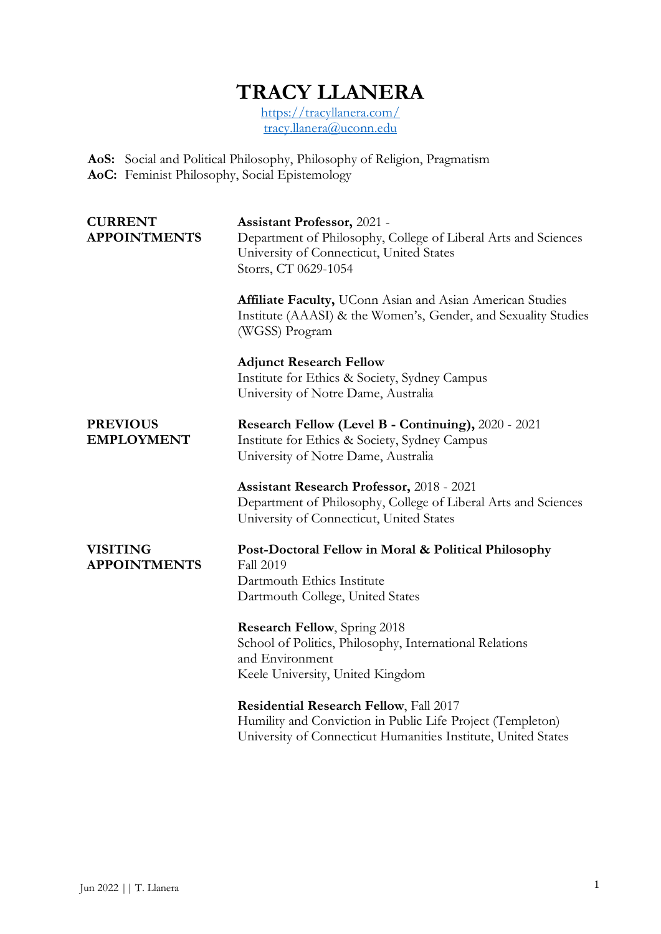# **TRACY LLANERA**

<https://tracyllanera.com/> [tracy.llanera@uconn.edu](mailto:tracy.llanera@uconn.edu)

**AoS:** Social and Political Philosophy, Philosophy of Religion, Pragmatism **AoC:** Feminist Philosophy, Social Epistemology

| <b>CURRENT</b><br><b>APPOINTMENTS</b>  | <b>Assistant Professor, 2021 -</b><br>Department of Philosophy, College of Liberal Arts and Sciences<br>University of Connecticut, United States<br>Storrs, CT 0629-1054 |
|----------------------------------------|--------------------------------------------------------------------------------------------------------------------------------------------------------------------------|
|                                        | Affiliate Faculty, UConn Asian and Asian American Studies<br>Institute (AAASI) & the Women's, Gender, and Sexuality Studies<br>(WGSS) Program                            |
|                                        | <b>Adjunct Research Fellow</b><br>Institute for Ethics & Society, Sydney Campus<br>University of Notre Dame, Australia                                                   |
| <b>PREVIOUS</b><br><b>EMPLOYMENT</b>   | Research Fellow (Level B - Continuing), 2020 - 2021<br>Institute for Ethics & Society, Sydney Campus<br>University of Notre Dame, Australia                              |
|                                        | <b>Assistant Research Professor, 2018 - 2021</b><br>Department of Philosophy, College of Liberal Arts and Sciences<br>University of Connecticut, United States           |
| <b>VISITING</b><br><b>APPOINTMENTS</b> | Post-Doctoral Fellow in Moral & Political Philosophy<br><b>Fall 2019</b><br>Dartmouth Ethics Institute<br>Dartmouth College, United States                               |
|                                        | <b>Research Fellow</b> , Spring 2018<br>School of Politics, Philosophy, International Relations<br>and Environment<br>Keele University, United Kingdom                   |
|                                        | Residential Research Fellow, Fall 2017<br>Humility and Conviction in Public Life Project (Templeton)<br>University of Connecticut Humanities Institute, United States    |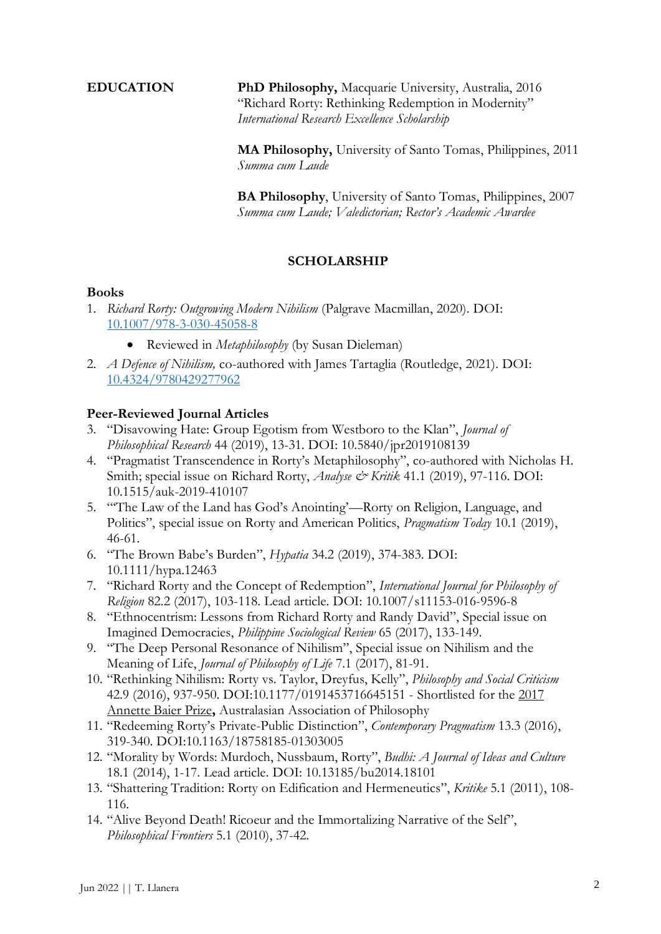**EDUCATION PhD Philosophy,** Macquarie University, Australia, 2016 "Richard Rorty: Rethinking Redemption in Modernity" *International Research Excellence Scholarship*

> **MA Philosophy,** University of Santo Tomas, Philippines, 2011 *Summa cum Laude*

**BA Philosophy**, University of Santo Tomas, Philippines, 2007 *Summa cum Laude; Valedictorian; Rector's Academic Awardee*

# **SCHOLARSHIP**

#### **Books**

- 1. *Richard Rorty: Outgrowing Modern Nihilism* (Palgrave Macmillan, 2020). DOI: [10.1007/978-3-030-45058-8](https://www.palgrave.com/gp/book/9783030450571)
	- Reviewed in *Metaphilosophy* (by Susan Dieleman)
- 2. *A Defence of Nihilism,* co-authored with James Tartaglia (Routledge, 2021). DOI: [10.4324/9780429277962](https://www.routledge.com/A-Defence-of-Nihilism/Tartaglia-Llanera/p/book/9780367230166)

# **Peer-Reviewed Journal Articles**

- 3. "Disavowing Hate: Group Egotism from Westboro to the Klan", *Journal of Philosophical Research* 44 (2019), 13-31. DOI: 10.5840/jpr2019108139
- 4. "Pragmatist Transcendence in Rorty's Metaphilosophy", co-authored with Nicholas H. Smith; special issue on Richard Rorty, *Analyse & Kritik* 41.1 (2019), 97-116. DOI: 10.1515/auk-2019-410107
- 5. "'The Law of the Land has God's Anointing'—Rorty on Religion, Language, and Politics", special issue on Rorty and American Politics, *Pragmatism Today* 10.1 (2019), 46-61.
- 6. "The Brown Babe's Burden", *Hypatia* 34.2 (2019), 374-383. DOI: 10.1111/hypa.12463
- 7. "Richard Rorty and the Concept of Redemption", *International Journal for Philosophy of Religion* 82.2 (2017), 103-118. Lead article. DOI: 10.1007/s11153-016-9596-8
- 8. "Ethnocentrism: Lessons from Richard Rorty and Randy David", Special issue on Imagined Democracies, *Philippine Sociological Review* 65 (2017), 133-149.
- 9. "The Deep Personal Resonance of Nihilism", Special issue on Nihilism and the Meaning of Life, *Journal of Philosophy of Life* 7.1 (2017), 81-91.
- 10. "Rethinking Nihilism: Rorty vs. Taylor, Dreyfus, Kelly", *Philosophy and Social Criticism* 42.9 (2016), 937-950. DOI:10.1177/0191453716645151 - Shortlisted for the 2017 Annette Baier Prize**,** Australasian Association of Philosophy
- 11. "Redeeming Rorty's Private-Public Distinction", *Contemporary Pragmatism* 13.3 (2016), 319-340. DOI:10.1163/18758185-01303005
- 12. "Morality by Words: Murdoch, Nussbaum, Rorty", *Budhi: A Journal of Ideas and Culture* 18.1 (2014), 1-17. Lead article. DOI: 10.13185/bu2014.18101
- 13. "Shattering Tradition: Rorty on Edification and Hermeneutics", *Kritike* 5.1 (2011), 108- 116.
- 14. "Alive Beyond Death! Ricoeur and the Immortalizing Narrative of the Self", *Philosophical Frontiers* 5.1 (2010), 37-42.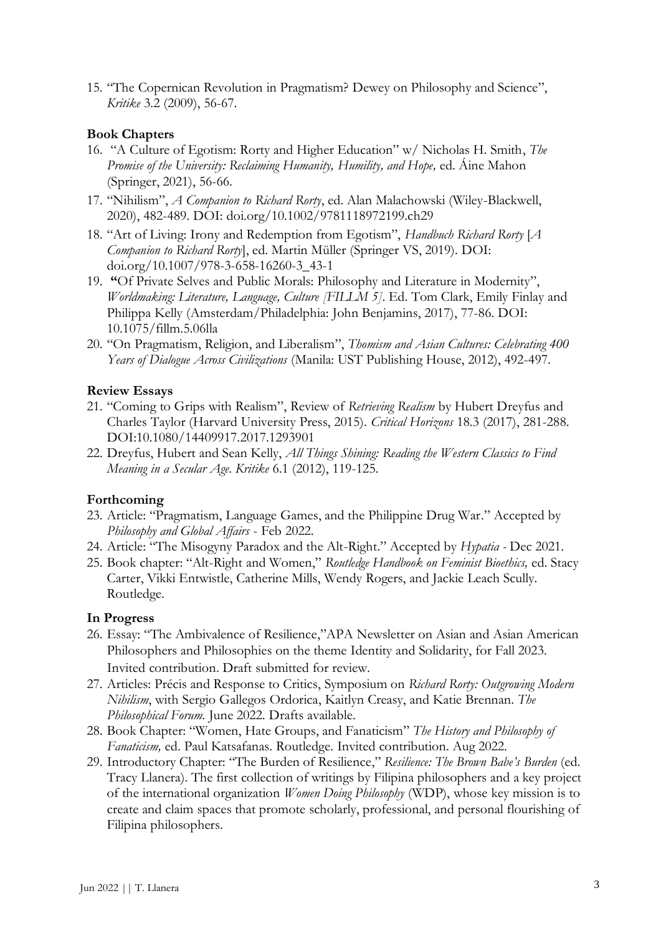15. "The Copernican Revolution in Pragmatism? Dewey on Philosophy and Science", *Kritike* 3.2 (2009), 56-67.

# **Book Chapters**

- 16. "A Culture of Egotism: Rorty and Higher Education" w/ Nicholas H. Smith, *The Promise of the University: Reclaiming Humanity, Humility, and Hope,* ed. Áine Mahon (Springer, 2021), 56-66.
- 17. "Nihilism", *A Companion to Richard Rorty*, ed. Alan Malachowski (Wiley-Blackwell, 2020), 482-489. DOI: [doi.org/10.1002/9781118972199.ch29](https://doi.org/10.1002/9781118972199.ch29)
- 18. "Art of Living: Irony and Redemption from Egotism", *Handbuch Richard Rorty* [*A Companion to Richard Rorty*], ed. Martin Müller (Springer VS, 2019). DOI: doi.org/10.1007/978-3-658-16260-3\_43-1
- 19. **"**Of Private Selves and Public Morals: Philosophy and Literature in Modernity", *Worldmaking: Literature, Language, Culture [FILLM 5]*. Ed. Tom Clark, Emily Finlay and Philippa Kelly (Amsterdam/Philadelphia: John Benjamins, 2017), 77-86. DOI: 10.1075/fillm.5.06lla
- 20. "On Pragmatism, Religion, and Liberalism", *Thomism and Asian Cultures: Celebrating 400 Years of Dialogue Across Civilizations* (Manila: UST Publishing House, 2012), 492-497.

# **Review Essays**

- 21. "Coming to Grips with Realism", Review of *Retrieving Realism* by Hubert Dreyfus and Charles Taylor (Harvard University Press, 2015). *Critical Horizons* 18.3 (2017), 281-288. DOI:10.1080/14409917.2017.1293901
- 22. Dreyfus, Hubert and Sean Kelly, *All Things Shining: Reading the Western Classics to Find Meaning in a Secular Age. Kritike* 6.1 (2012), 119-125.

# **Forthcoming**

- 23. Article: "Pragmatism, Language Games, and the Philippine Drug War." Accepted by *Philosophy and Global Affairs* - Feb 2022.
- 24. Article: "The Misogyny Paradox and the Alt-Right." Accepted by *Hypatia -* Dec 2021.
- 25. Book chapter: "Alt-Right and Women," *Routledge Handbook on Feminist Bioethics,* ed. Stacy Carter, Vikki Entwistle, Catherine Mills, Wendy Rogers, and Jackie Leach Scully. Routledge.

#### **In Progress**

- 26. Essay: "The Ambivalence of Resilience,"APA Newsletter on Asian and Asian American Philosophers and Philosophies on the theme Identity and Solidarity, for Fall 2023. Invited contribution. Draft submitted for review.
- 27. Articles: Précis and Response to Critics, Symposium on *Richard Rorty: Outgrowing Modern Nihilism*, with Sergio Gallegos Ordorica, Kaitlyn Creasy, and Katie Brennan. *The Philosophical Forum.* June 2022. Drafts available.
- 28. Book Chapter: "Women, Hate Groups, and Fanaticism" *The History and Philosophy of Fanaticism,* ed. Paul Katsafanas. Routledge. Invited contribution. Aug 2022.
- 29. Introductory Chapter: "The Burden of Resilience," *Resilience: The Brown Babe's Burden* (ed. Tracy Llanera)*.* The first collection of writings by Filipina philosophers and a key project of the international organization *Women Doing Philosophy* (WDP), whose key mission is to create and claim spaces that promote scholarly, professional, and personal flourishing of Filipina philosophers.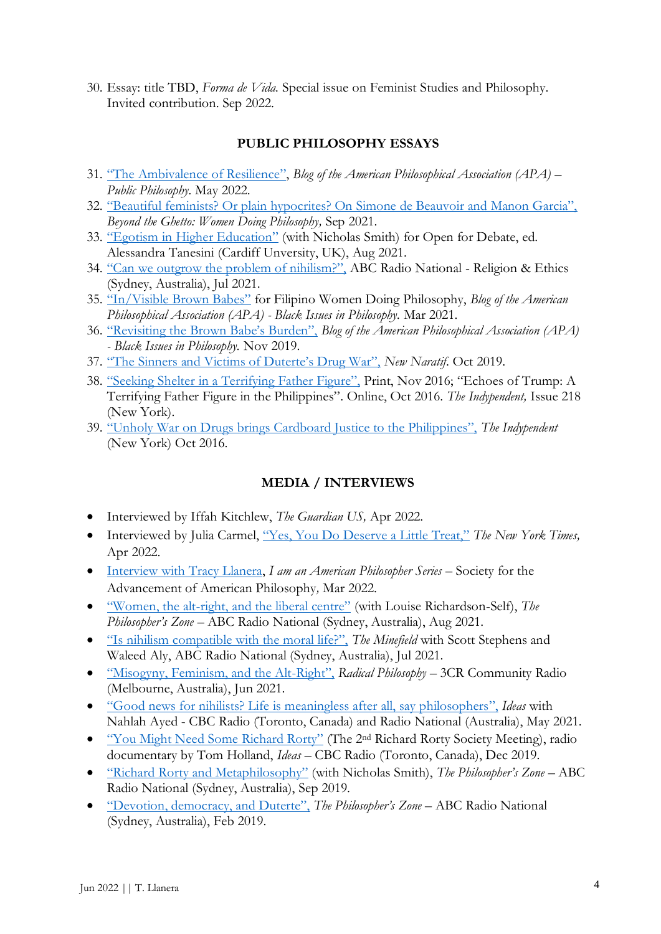30. Essay: title TBD, *Forma de Vida.* Special issue on Feminist Studies and Philosophy. Invited contribution. Sep 2022.

# **PUBLIC PHILOSOPHY ESSAYS**

- 31. ["The Ambivalence of Resilience"](https://blog.apaonline.org/2022/05/23/the-ambivalence-of-resilience/), *Blog of the American Philosophical Association (APA) – Public Philosophy.* May 2022.
- 32. ["Beautiful feminists? Or plain hypocrites? On Simone de Beauvoir and Manon Garcia",](https://beyondtheghetto.substack.com/p/beautiful-feminists-or-plain-hypocrites?) *Beyond the Ghetto: Women Doing Philosophy,* Sep 2021.
- 33. ["Egotism in Higher Education"](https://blogs.cardiff.ac.uk/openfordebate/2021/08/09/egotism-in-higher-education/) (with Nicholas Smith) for Open for Debate, ed. Alessandra Tanesini (Cardiff Unversity, UK), Aug 2021.
- 34. "Can we outgrow the [problem of nihilism?",](https://www.abc.net.au/religion/can-we-outgrow-nihilism-james-tartaglia-and-tracy-llanera/13432122) ABC Radio National Religion & Ethics (Sydney, Australia), Jul 2021.
- 35. ["In/Visible Brown Babes"](https://blog.apaonline.org/2021/03/02/the-women-doing-philosophy-group-in-the-philippines/?amp=1) for Filipino Women Doing Philosophy, *Blog of the American Philosophical Association (APA) - Black Issues in Philosophy.* Mar 2021.
- 36. ["Revisiting the Brown Babe's Burden",](https://blog.apaonline.org/2019/11/12/revisiting-the-brown-babes-burden/) *Blog of the American Philosophical Association (APA) - Black Issues in Philosophy.* Nov 2019.
- 37. ["The Sinners and Victims of Duterte's Drug War",](https://newnaratif.com/research/the-sinners-and-victims-of-dutertes-war-on-drugs/share/cwguhz/9b72e638ad349bcfd1a8369294e6f5e5/) *New Naratif*. Oct 2019.
- 38. ["Seeking Shelter in a Terrifying Father Figure",](https://indypendent.org/2016/10/echoes-of-trump-a-terrifying-father-figure-in-the-philippines/) Print, Nov 2016; ["Echoes of Trump: A](https://indypendent.org/2016/10/21/echoes-trump-terrifying-father-figure-philippines)  [Terrifying Father Figure in the Philippines"](https://indypendent.org/2016/10/21/echoes-trump-terrifying-father-figure-philippines). Online, Oct 2016. *The Indypendent,* Issue 218 (New York).
- 39. ["Unholy War on Drugs brings Cardboard Justice to the Philippines",](https://indypendent.org/2016/10/unholy-war-on-drugs-brings-cardboard-justice-to-the-philippines/) *The Indypendent*  (New York) Oct 2016.

# **MEDIA / INTERVIEWS**

- Interviewed by Iffah Kitchlew, *The Guardian US,* Apr 2022.
- Interviewed by Julia Carmel, ["Yes, You Do Deserve a Little Treat,"](https://www.nytimes.com/2022/04/01/style/yes-you-do-deserve-a-little-treat.html) *The New York Times,* Apr 2022.
- Interview [with Tracy Llanera,](https://american-philosophy.org/i-am-an-american-philosopher-interview-series/i-am-an-american-philosopher-tracy-llanera/) *I am an American Philosopher Series* Society for the Advancement of American Philosophy*,* Mar 2022.
- "Women, the alt-[right, and the liberal centre"](https://www.abc.net.au/radionational/programs/philosopherszone/women,-the-alt-right-and-the-liberal-centre/13477704) (with Louise Richardson-Self), *The Philosopher's Zone* – ABC Radio National (Sydney, Australia), Aug 2021.
- ["Is nihilism compatible with the moral life?",](https://www.abc.net.au/radionational/programs/theminefield/whats-so-bad-about-nihilism/13435690) *The Minefield* with Scott Stephens and Waleed Aly, ABC Radio National (Sydney, Australia), Jul 2021.
- ["Misogyny, Feminism, and the Alt](https://www.3cr.org.au/radicalphilosophy/episode-201604071530/dr-tracy-llanera-speaks-about-nihilism)-Right", *Radical Philosophy* 3CR Community Radio (Melbourne, Australia), Jun 2021.
- "[Good news for nihilists? Life is meaningless after all, say philosophers](https://www.cbc.ca/radio/ideas/good-news-for-nihilists-life-is-meaningless-after-all-say-philosophers-1.6036427)", *Ideas* with Nahlah Ayed - CBC Radio (Toronto, Canada) and Radio National (Australia), May 2021.
- "You Might Need [Some Richard Rorty"](https://www.cbc.ca/radio/ideas/people-are-turning-to-this-late-american-philosopher-in-troubled-times-1.5387197) (The 2<sup>nd</sup> Richard Rorty Society Meeting), radio documentary by Tom Holland, *Ideas* – CBC Radio (Toronto, Canada), Dec 2019.
- ["Richard Rorty and Metaphilosophy"](https://www.abc.net.au/radionational/programs/philosopherszone/richard-rorty-and-transcendence/11546590) (with Nicholas Smith), *The Philosopher's Zone* ABC Radio National (Sydney, Australia), Sep 2019.
- ["Devotion, democracy, and Duterte",](https://www.abc.net.au/radionational/programs/philosopherszone/devotion,-democracy-and-duterte/10762992) *The Philosopher's Zone* ABC Radio National (Sydney, Australia), Feb 2019.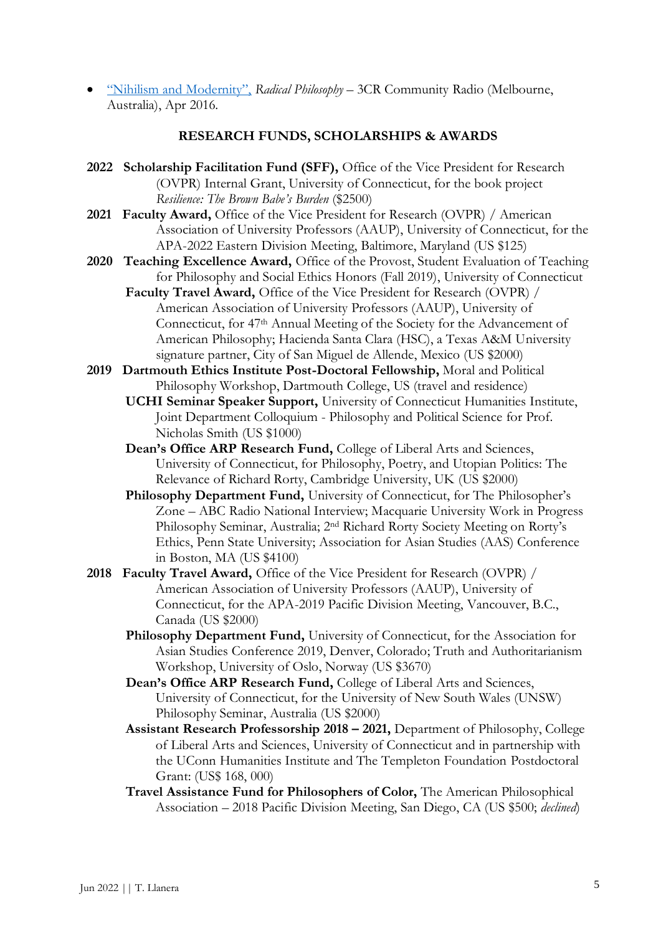• ["Nihilism and Modernity",](https://www.3cr.org.au/radicalphilosophy/episode-201604071530/dr-tracy-llanera-speaks-about-nihilism) *Radical Philosophy* – 3CR Community Radio (Melbourne, Australia), Apr 2016.

#### **RESEARCH FUNDS, SCHOLARSHIPS & AWARDS**

- **2022 Scholarship Facilitation Fund (SFF),** Office of the Vice President for Research (OVPR) Internal Grant, University of Connecticut, for the book project *Resilience: The Brown Babe's Burden* (\$2500)
- **2021 Faculty Award,** Office of the Vice President for Research (OVPR) / American Association of University Professors (AAUP), University of Connecticut, for the APA-2022 Eastern Division Meeting, Baltimore, Maryland (US \$125)
- **2020 Teaching Excellence Award,** Office of the Provost, Student Evaluation of Teaching for Philosophy and Social Ethics Honors (Fall 2019), University of Connecticut
	- **Faculty Travel Award,** Office of the Vice President for Research (OVPR) / American Association of University Professors (AAUP), University of Connecticut, for 47th Annual Meeting of the Society for the Advancement of American Philosophy; Hacienda Santa Clara (HSC), a Texas A&M University signature partner, City of San Miguel de Allende, Mexico (US \$2000)
- **2019 Dartmouth Ethics Institute Post-Doctoral Fellowship,** Moral and Political Philosophy Workshop, Dartmouth College, US (travel and residence)
	- **UCHI Seminar Speaker Support,** University of Connecticut Humanities Institute, Joint Department Colloquium - Philosophy and Political Science for Prof. Nicholas Smith (US \$1000)
	- **Dean's Office ARP Research Fund,** College of Liberal Arts and Sciences, University of Connecticut, for Philosophy, Poetry, and Utopian Politics: The Relevance of Richard Rorty, Cambridge University, UK (US \$2000)
	- **Philosophy Department Fund,** University of Connecticut, for The Philosopher's Zone – ABC Radio National Interview; Macquarie University Work in Progress Philosophy Seminar, Australia; 2nd Richard Rorty Society Meeting on Rorty's Ethics, Penn State University; Association for Asian Studies (AAS) Conference in Boston, MA (US \$4100)
- **2018 Faculty Travel Award,** Office of the Vice President for Research (OVPR) / American Association of University Professors (AAUP), University of Connecticut, for the APA-2019 Pacific Division Meeting, Vancouver, B.C., Canada (US \$2000)
	- **Philosophy Department Fund,** University of Connecticut, for the Association for Asian Studies Conference 2019, Denver, Colorado; Truth and Authoritarianism Workshop, University of Oslo, Norway (US \$3670)
	- **Dean's Office ARP Research Fund,** College of Liberal Arts and Sciences, University of Connecticut, for the University of New South Wales (UNSW) Philosophy Seminar, Australia (US \$2000)
	- **Assistant Research Professorship 2018 – 2021,** Department of Philosophy, College of Liberal Arts and Sciences, University of Connecticut and in partnership with the UConn Humanities Institute and The Templeton Foundation Postdoctoral Grant: (US\$ 168, 000)
	- **Travel Assistance Fund for Philosophers of Color,** The American Philosophical Association – 2018 Pacific Division Meeting, San Diego, CA (US \$500; *declined*)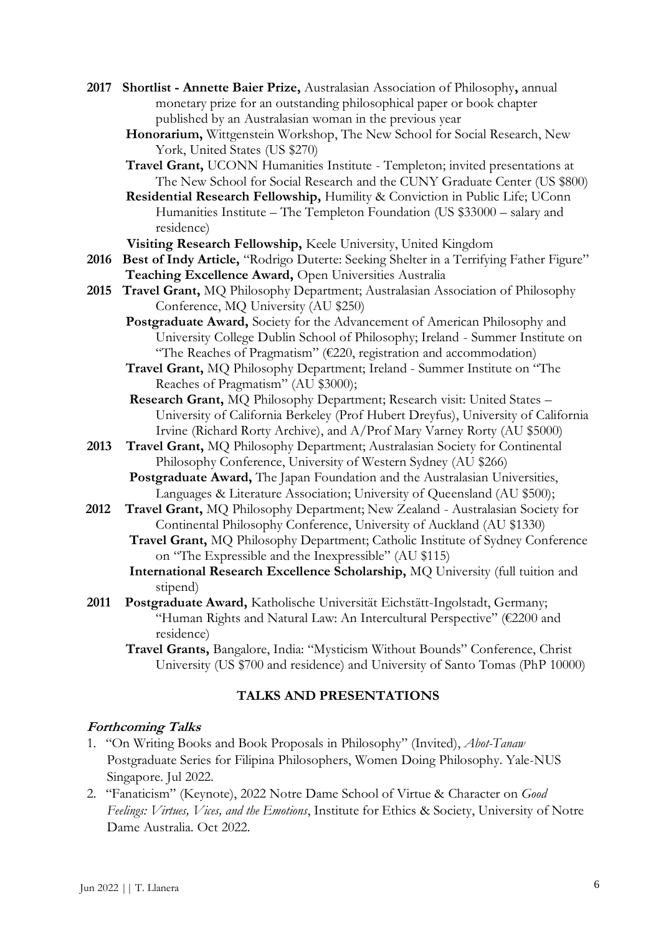- **2017****Shortlist - [Annette Baier Prize,](https://aap.org.au/prizes/annettebaierprize)** Australasian Association of Philosophy**,** annual monetary prize for an outstanding philosophical paper or book chapter published by an Australasian woman in the previous year
	- **Honorarium,** Wittgenstein Workshop, The New School for Social Research, New York, United States (US \$270)
	- **Travel Grant,** UCONN Humanities Institute Templeton; invited presentations at The New School for Social Research and the CUNY Graduate Center (US \$800)
	- **Residential Research Fellowship,** Humility & Conviction in Public Life; UConn Humanities Institute – The Templeton Foundation (US \$33000 – salary and residence)

**Visiting Research Fellowship,** Keele University, United Kingdom

- 2016 Best of Indy Article, "Rodrigo Duterte: Seeking Shelter in a Terrifying Father Figure"  **Teaching Excellence Award,** Open Universities Australia
- **2015 Travel Grant,** MQ Philosophy Department; Australasian Association of Philosophy Conference, MQ University (AU \$250)
	- **Postgraduate Award,** Society for the Advancement of American Philosophy and University College Dublin School of Philosophy; Ireland - Summer Institute on "The Reaches of Pragmatism"  $(E220,$  registration and accommodation)
	- **Travel Grant,** MQ Philosophy Department; Ireland Summer Institute on "The Reaches of Pragmatism" (AU \$3000);
	- **Research Grant,** MQ Philosophy Department; Research visit: United States University of California Berkeley (Prof Hubert Dreyfus), University of California Irvine (Richard Rorty Archive), and A/Prof Mary Varney Rorty (AU \$5000)
- **2013 Travel Grant,** MQ Philosophy Department; Australasian Society for Continental Philosophy Conference, University of Western Sydney (AU \$266) **Postgraduate Award,** The Japan Foundation and the Australasian Universities,
	- Languages & Literature Association; University of Queensland (AU \$500);
- **2012****Travel Grant,** MQ Philosophy Department; New Zealand Australasian Society for Continental Philosophy Conference, University of Auckland (AU \$1330)
	- **Travel Grant,** MQ Philosophy Department; Catholic Institute of Sydney Conference on "The Expressible and the Inexpressible" (AU \$115)
	- **International Research Excellence Scholarship,** MQ University (full tuition and stipend)
- **2011 Postgraduate Award,** Katholische Universität Eichstätt-Ingolstadt, Germany; "Human Rights and Natural Law: An Intercultural Perspective" (€2200 and residence)
	- **Travel Grants,** Bangalore, India: "Mysticism Without Bounds" Conference, Christ University (US \$700 and residence) and University of Santo Tomas (PhP 10000)

#### **TALKS AND PRESENTATIONS**

#### **Forthcoming Talks**

- 1. "On Writing Books and Book Proposals in Philosophy" (Invited), *Abot-Tanaw* Postgraduate Series for Filipina Philosophers, Women Doing Philosophy. Yale-NUS Singapore. Jul 2022.
- 2. "Fanaticism" (Keynote), 2022 Notre Dame School of Virtue & Character on *Good Feelings: Virtues, Vices, and the Emotions*, Institute for Ethics & Society, University of Notre Dame Australia. Oct 2022.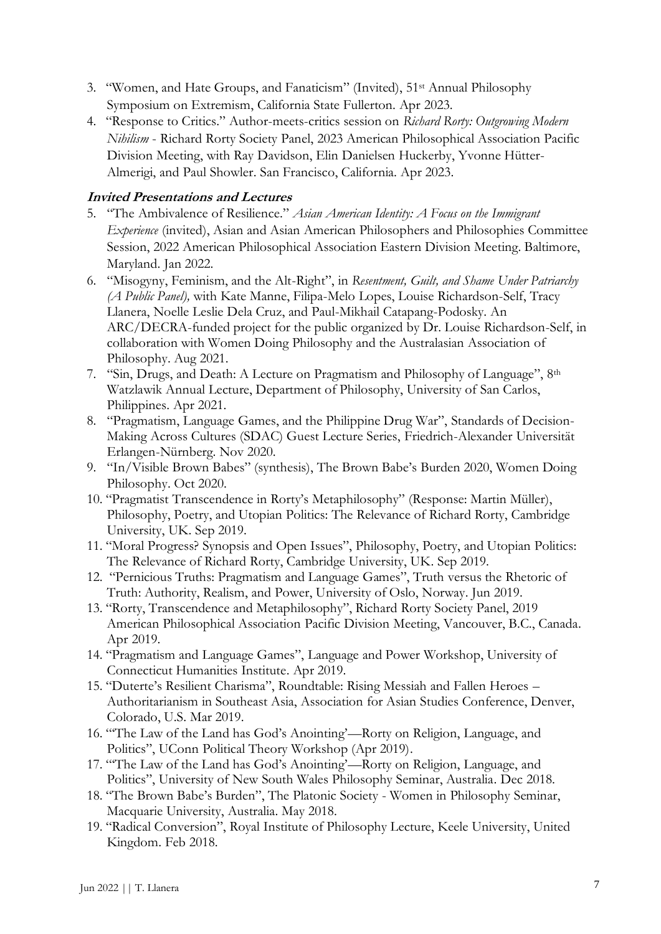- 3. "Women, and Hate Groups, and Fanaticism" (Invited), 51st Annual Philosophy Symposium on Extremism, California State Fullerton. Apr 2023.
- 4. "Response to Critics." Author-meets-critics session on *Richard Rorty: Outgrowing Modern Nihilism* - Richard Rorty Society Panel, 2023 American Philosophical Association Pacific Division Meeting, with Ray Davidson, Elin Danielsen Huckerby, Yvonne Hütter-Almerigi, and Paul Showler. San Francisco, California. Apr 2023.

# **Invited Presentations and Lectures**

- 5. "The Ambivalence of Resilience." *Asian American Identity: A Focus on the Immigrant Experience* (invited), Asian and Asian American Philosophers and Philosophies Committee Session, 2022 American Philosophical Association Eastern Division Meeting. Baltimore, Maryland. Jan 2022.
- 6. "Misogyny, Feminism, and the Alt-Right", in *Resentment, Guilt, and Shame Under Patriarchy (A Public Panel),* with Kate Manne, Filipa-Melo Lopes, Louise Richardson-Self, Tracy Llanera, Noelle Leslie Dela Cruz, and Paul-Mikhail Catapang-Podosky. An ARC/DECRA-funded project for the public organized by Dr. Louise Richardson-Self, in collaboration with Women Doing Philosophy and the Australasian Association of Philosophy. Aug 2021.
- 7. "Sin, Drugs, and Death: A Lecture on Pragmatism and Philosophy of Language", 8th Watzlawik Annual Lecture, Department of Philosophy, University of San Carlos, Philippines. Apr 2021.
- 8. "Pragmatism, Language Games, and the Philippine Drug War", Standards of Decision-Making Across Cultures (SDAC) Guest Lecture Series, Friedrich-Alexander Universität Erlangen-Nürnberg. Nov 2020.
- 9. "In/Visible Brown Babes" (synthesis), The Brown Babe's Burden 2020, Women Doing Philosophy. Oct 2020.
- 10. "Pragmatist Transcendence in Rorty's Metaphilosophy" (Response: Martin Müller), Philosophy, Poetry, and Utopian Politics: The Relevance of Richard Rorty, Cambridge University, UK. Sep 2019.
- 11. "Moral Progress? Synopsis and Open Issues", Philosophy, Poetry, and Utopian Politics: The Relevance of Richard Rorty, Cambridge University, UK. Sep 2019.
- 12. "Pernicious Truths: Pragmatism and Language Games", Truth versus the Rhetoric of Truth: Authority, Realism, and Power, University of Oslo, Norway. Jun 2019.
- 13. "Rorty, Transcendence and Metaphilosophy", Richard Rorty Society Panel, 2019 American Philosophical Association Pacific Division Meeting, Vancouver, B.C., Canada. Apr 2019.
- 14. "Pragmatism and Language Games", Language and Power Workshop, University of Connecticut Humanities Institute. Apr 2019.
- 15. "Duterte's Resilient Charisma", Roundtable: Rising Messiah and Fallen Heroes Authoritarianism in Southeast Asia, Association for Asian Studies Conference, Denver, Colorado, U.S. Mar 2019.
- 16. "'The Law of the Land has God's Anointing'—Rorty on Religion, Language, and Politics", UConn Political Theory Workshop (Apr 2019).
- 17. "'The Law of the Land has God's Anointing'—Rorty on Religion, Language, and Politics", University of New South Wales Philosophy Seminar, Australia. Dec 2018.
- 18. "The Brown Babe's Burden", The Platonic Society Women in Philosophy Seminar, Macquarie University, Australia. May 2018.
- 19. "Radical Conversion", Royal Institute of Philosophy Lecture, Keele University, United Kingdom. Feb 2018.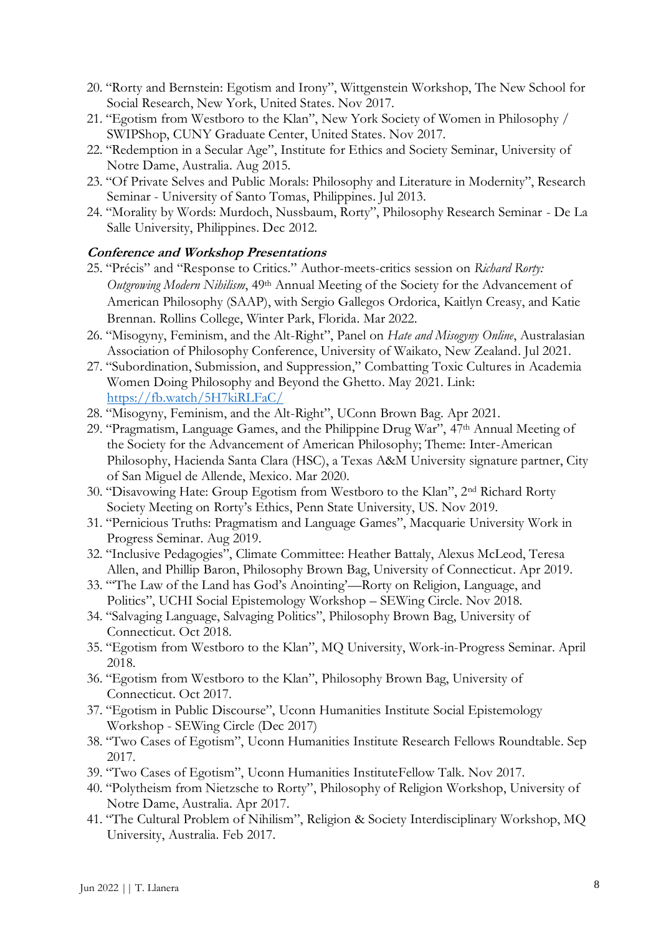- 20. "Rorty and Bernstein: Egotism and Irony", Wittgenstein Workshop, The New School for Social Research, New York, United States. Nov 2017.
- 21. "Egotism from Westboro to the Klan", New York Society of Women in Philosophy / SWIPShop, CUNY Graduate Center, United States. Nov 2017.
- 22. "Redemption in a Secular Age", Institute for Ethics and Society Seminar, University of Notre Dame, Australia. Aug 2015.
- 23. "Of Private Selves and Public Morals: Philosophy and Literature in Modernity", Research Seminar - University of Santo Tomas, Philippines. Jul 2013.
- 24. "Morality by Words: Murdoch, Nussbaum, Rorty", Philosophy Research Seminar De La Salle University, Philippines. Dec 2012.

#### **Conference and Workshop Presentations**

- 25. "Précis" and "Response to Critics." Author-meets-critics session on *Richard Rorty: Outgrowing Modern Nihilism*, 49th Annual Meeting of the Society for the Advancement of American Philosophy (SAAP), with Sergio Gallegos Ordorica, Kaitlyn Creasy, and Katie Brennan. Rollins College, Winter Park, Florida. Mar 2022.
- 26. "Misogyny, Feminism, and the Alt-Right", Panel on *Hate and Misogyny Online*, Australasian Association of Philosophy Conference, University of Waikato, New Zealand. Jul 2021.
- 27. "Subordination, Submission, and Suppression," Combatting Toxic Cultures in Academia Women Doing Philosophy and Beyond the Ghetto. May 2021. Link: [https://fb.watch/5H7kiRLFaC/](https://nam10.safelinks.protection.outlook.com/?url=https%3A%2F%2Ffb.watch%2F5H7kiRLFaC%2F&data=04%7C01%7C%7C45d12d43a3d74d15e04f08d91fca1c29%7C17f1a87e2a254eaab9df9d439034b080%7C0%7C0%7C637575775173329225%7CUnknown%7CTWFpbGZsb3d8eyJWIjoiMC4wLjAwMDAiLCJQIjoiV2luMzIiLCJBTiI6Ik1haWwiLCJXVCI6Mn0%3D%7C1000&sdata=fhkFQ1zeLH49hH5lAdgqMoutOhtY2Lev%2FtZUe3DJLDs%3D&reserved=0)
- 28. "Misogyny, Feminism, and the Alt-Right", UConn Brown Bag. Apr 2021.
- 29. "Pragmatism, Language Games, and the Philippine Drug War", 47th Annual Meeting of the Society for the Advancement of American Philosophy; Theme: Inter-American Philosophy, Hacienda Santa Clara (HSC), a Texas A&M University signature partner, City of San Miguel de Allende, Mexico. Mar 2020.
- 30. "Disavowing Hate: Group Egotism from Westboro to the Klan", 2nd Richard Rorty Society Meeting on Rorty's Ethics, Penn State University, US. Nov 2019.
- 31. "Pernicious Truths: Pragmatism and Language Games", Macquarie University Work in Progress Seminar. Aug 2019.
- 32. "Inclusive Pedagogies", Climate Committee: Heather Battaly, Alexus McLeod, Teresa Allen, and Phillip Baron, Philosophy Brown Bag, University of Connecticut. Apr 2019.
- 33. "'The Law of the Land has God's Anointing'—Rorty on Religion, Language, and Politics", UCHI Social Epistemology Workshop – SEWing Circle. Nov 2018.
- 34. "Salvaging Language, Salvaging Politics", Philosophy Brown Bag, University of Connecticut. Oct 2018.
- 35. "Egotism from Westboro to the Klan", MQ University, Work-in-Progress Seminar. April 2018.
- 36. "Egotism from Westboro to the Klan", Philosophy Brown Bag, University of Connecticut. Oct 2017.
- 37. "Egotism in Public Discourse", Uconn Humanities Institute Social Epistemology Workshop - SEWing Circle (Dec 2017)
- 38. "Two Cases of Egotism", Uconn Humanities Institute Research Fellows Roundtable. Sep 2017.
- 39. "Two Cases of Egotism", Uconn Humanities InstituteFellow Talk. Nov 2017.
- 40. "Polytheism from Nietzsche to Rorty", Philosophy of Religion Workshop, University of Notre Dame, Australia. Apr 2017.
- 41. "The Cultural Problem of Nihilism", Religion & Society Interdisciplinary Workshop, MQ University, Australia. Feb 2017.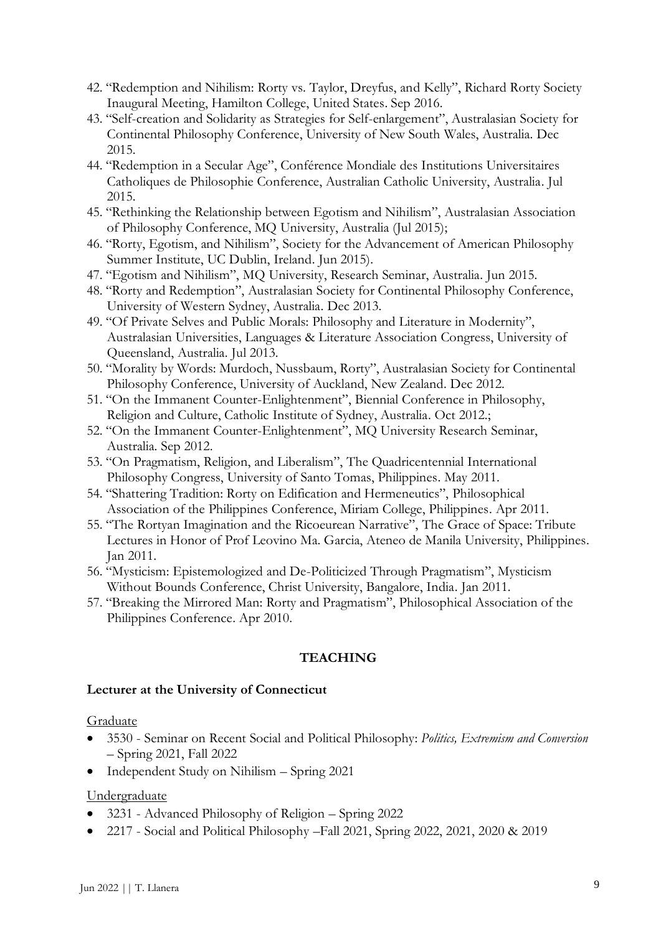- 42. "Redemption and Nihilism: Rorty vs. Taylor, Dreyfus, and Kelly", Richard Rorty Society Inaugural Meeting, Hamilton College, United States. Sep 2016.
- 43. "Self-creation and Solidarity as Strategies for Self-enlargement", Australasian Society for Continental Philosophy Conference, University of New South Wales, Australia. Dec 2015.
- 44. "Redemption in a Secular Age", Conférence Mondiale des Institutions Universitaires Catholiques de Philosophie Conference, Australian Catholic University, Australia. Jul 2015.
- 45. "Rethinking the Relationship between Egotism and Nihilism", Australasian Association of Philosophy Conference, MQ University, Australia (Jul 2015);
- 46. "Rorty, Egotism, and Nihilism", Society for the Advancement of American Philosophy Summer Institute, UC Dublin, Ireland. Jun 2015).
- 47. "Egotism and Nihilism", MQ University, Research Seminar, Australia. Jun 2015.
- 48. "Rorty and Redemption", Australasian Society for Continental Philosophy Conference, University of Western Sydney, Australia. Dec 2013.
- 49. "Of Private Selves and Public Morals: Philosophy and Literature in Modernity", Australasian Universities, Languages & Literature Association Congress, University of Queensland, Australia. Jul 2013.
- 50. "Morality by Words: Murdoch, Nussbaum, Rorty", Australasian Society for Continental Philosophy Conference, University of Auckland, New Zealand. Dec 2012.
- 51. "On the Immanent Counter-Enlightenment", Biennial Conference in Philosophy, Religion and Culture, Catholic Institute of Sydney, Australia. Oct 2012.;
- 52. "On the Immanent Counter-Enlightenment", MQ University Research Seminar, Australia. Sep 2012.
- 53. "On Pragmatism, Religion, and Liberalism", The Quadricentennial International Philosophy Congress, University of Santo Tomas, Philippines. May 2011.
- 54. "Shattering Tradition: Rorty on Edification and Hermeneutics", Philosophical Association of the Philippines Conference, Miriam College, Philippines. Apr 2011.
- 55. "The Rortyan Imagination and the Ricoeurean Narrative", The Grace of Space: Tribute Lectures in Honor of Prof Leovino Ma. Garcia, Ateneo de Manila University, Philippines. Jan 2011.
- 56. "Mysticism: Epistemologized and De-Politicized Through Pragmatism", Mysticism Without Bounds Conference, Christ University, Bangalore, India. Jan 2011.
- 57. "Breaking the Mirrored Man: Rorty and Pragmatism", Philosophical Association of the Philippines Conference. Apr 2010.

# **TEACHING**

#### **Lecturer at the University of Connecticut**

#### **Graduate**

- 3530 Seminar on Recent Social and Political Philosophy: *Politics, Extremism and Conversion* – Spring 2021, Fall 2022
- Independent Study on Nihilism Spring 2021

#### Undergraduate

- 3231 Advanced Philosophy of Religion Spring 2022
- 2217 Social and Political Philosophy –Fall 2021, Spring 2022, 2021, 2020 & 2019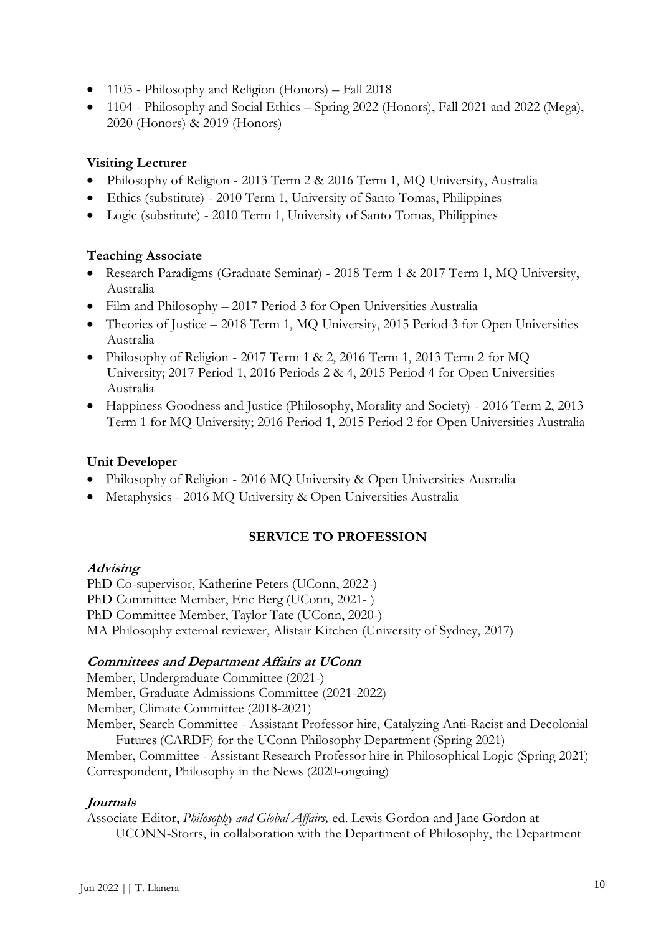- 1105 Philosophy and Religion (Honors) Fall 2018
- 1104 Philosophy and Social Ethics Spring 2022 (Honors), Fall 2021 and 2022 (Mega), 2020 (Honors) & 2019 (Honors)

# **Visiting Lecturer**

- Philosophy of Religion 2013 Term 2 & 2016 Term 1, MQ University, Australia
- Ethics (substitute) 2010 Term 1, University of Santo Tomas, Philippines
- Logic (substitute) 2010 Term 1, University of Santo Tomas, Philippines

# **Teaching Associate**

- Research Paradigms (Graduate Seminar) 2018 Term 1 & 2017 Term 1, MQ University, Australia
- Film and Philosophy 2017 Period 3 for Open Universities Australia
- Theories of Justice 2018 Term 1, MQ University, 2015 Period 3 for Open Universities Australia
- Philosophy of Religion 2017 Term 1 & 2, 2016 Term 1, 2013 Term 2 for MQ University; 2017 Period 1, 2016 Periods 2 & 4, 2015 Period 4 for Open Universities Australia
- Happiness Goodness and Justice (Philosophy, Morality and Society) 2016 Term 2, 2013 Term 1 for MQ University; 2016 Period 1, 2015 Period 2 for Open Universities Australia

# **Unit Developer**

- Philosophy of Religion 2016 MQ University & Open Universities Australia
- Metaphysics 2016 MQ University & Open Universities Australia

# **SERVICE TO PROFESSION**

# **Advising**

PhD Co-supervisor, Katherine Peters (UConn, 2022-) PhD Committee Member, Eric Berg (UConn, 2021- ) PhD Committee Member, Taylor Tate (UConn, 2020-) MA Philosophy external reviewer, Alistair Kitchen (University of Sydney, 2017)

# **Committees and Department Affairs at UConn**

Member, Undergraduate Committee (2021-) Member, Graduate Admissions Committee (2021-2022) Member, Climate Committee (2018-2021) Member, Search Committee - Assistant Professor hire, Catalyzing Anti-Racist and Decolonial Futures (CARDF) for the UConn Philosophy Department (Spring 2021) Member, Committee - Assistant Research Professor hire in Philosophical Logic (Spring 2021) Correspondent, Philosophy in the News (2020-ongoing)

# **Journals**

Associate Editor, *Philosophy and Global Affairs,* ed. Lewis Gordon and Jane Gordon at UCONN-Storrs, in collaboration with the Department of Philosophy, the Department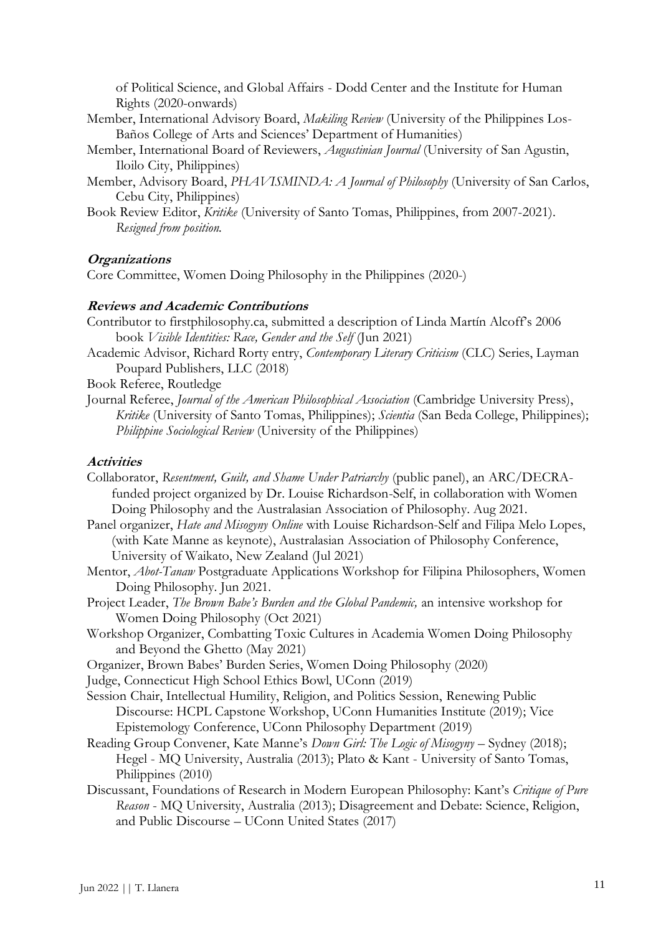of Political Science, and Global Affairs - Dodd Center and the Institute for Human Rights (2020-onwards)

- Member, International Advisory Board, *Makiling Review* (University of the Philippines Los-Baños College of Arts and Sciences' Department of Humanities)
- Member, International Board of Reviewers, *Augustinian Journal* (University of San Agustin, Iloilo City, Philippines)
- Member, Advisory Board, *PHAVISMINDA: A Journal of Philosophy* (University of San Carlos, Cebu City, Philippines)
- Book Review Editor, *Kritike* (University of Santo Tomas, Philippines, from 2007-2021). *Resigned from position.*

#### **Organizations**

Core Committee, Women Doing Philosophy in the Philippines (2020-)

#### **Reviews and Academic Contributions**

Contributor to firstphilosophy.ca, submitted a description of Linda Martín Alcoff's 2006 book *Visible Identities: Race, Gender and the Self* (Jun 2021)

Academic Advisor, Richard Rorty entry, *Contemporary Literary Criticism* (CLC) Series, Layman Poupard Publishers, LLC (2018)

Book Referee, Routledge

Journal Referee, *Journal of the American Philosophical Association* (Cambridge University Press), *Kritike* (University of Santo Tomas, Philippines); *Scientia* (San Beda College, Philippines); *Philippine Sociological Review* (University of the Philippines)

# **Activities**

Collaborator, *Resentment, Guilt, and Shame Under Patriarchy* (public panel), an ARC/DECRAfunded project organized by Dr. Louise Richardson-Self, in collaboration with Women Doing Philosophy and the Australasian Association of Philosophy. Aug 2021.

- Panel organizer, *Hate and Misogyny Online* with Louise Richardson-Self and Filipa Melo Lopes, (with Kate Manne as keynote), Australasian Association of Philosophy Conference, University of Waikato, New Zealand (Jul 2021)
- Mentor, *Abot-Tanaw* Postgraduate Applications Workshop for Filipina Philosophers, Women Doing Philosophy. Jun 2021.
- Project Leader, *The Brown Babe's Burden and the Global Pandemic,* an intensive workshop for [Women Doing Philosophy](https://www.facebook.com/womendoingphilosophy/?__cft__%5b0%5d=AZXScxdgDJDm7mU3V4eE77IJk458yhoT5WEbcaOWsy-qXTlcf8oMcfc37Zqj76s57wiCzhoWXF658kkFdrDorcBIEJJ534BEGsgaIIviU_1t9T15wuIkYNdarhs5tOC2ucc&__tn__=kK-R) (Oct 2021)
- Workshop Organizer, Combatting Toxic Cultures in Academia Women Doing Philosophy and Beyond the Ghetto (May 2021)
- Organizer, Brown Babes' Burden Series, Women Doing Philosophy (2020)
- Judge, Connecticut High School Ethics Bowl, UConn (2019)
- Session Chair, Intellectual Humility, Religion, and Politics Session, Renewing Public Discourse: HCPL Capstone Workshop, UConn Humanities Institute (2019); Vice Epistemology Conference, UConn Philosophy Department (2019)
- Reading Group Convener, Kate Manne's *Down Girl: The Logic of Misogyny*  Sydney (2018); Hegel - MQ University, Australia (2013); Plato & Kant - University of Santo Tomas, Philippines (2010)
- Discussant, Foundations of Research in Modern European Philosophy: Kant's *Critique of Pure Reason* - MQ University, Australia (2013); Disagreement and Debate: Science, Religion, and Public Discourse – UConn United States (2017)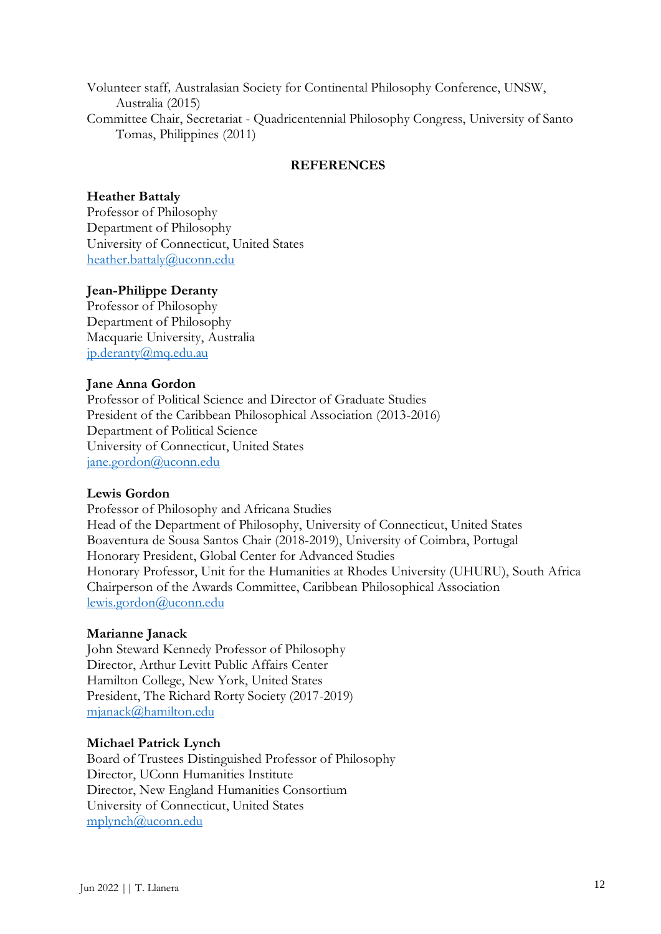Volunteer staff*,* Australasian Society for Continental Philosophy Conference, UNSW, Australia (2015) Committee Chair, Secretariat - Quadricentennial Philosophy Congress, University of Santo Tomas, Philippines (2011)

#### **REFERENCES**

#### **Heather Battaly**

Professor of Philosophy Department of Philosophy University of Connecticut, United States [heather.battaly@uconn.edu](mailto:heather.battaly@uconn.edu)

#### **Jean-Philippe Deranty**

Professor of Philosophy Department of Philosophy Macquarie University, Australia [jp.deranty@mq.edu.au](mailto:jp.deranty@mq.edu.au)

#### **Jane Anna Gordon**

Professor of Political Science and Director of Graduate Studies President of the Caribbean Philosophical Association (2013-2016) Department of Political Science University of Connecticut, United States [jane.gordon@uconn.edu](mailto:jane.gordon@uconn.edu)

#### **Lewis Gordon**

Professor of Philosophy and Africana Studies Head of the Department of Philosophy, University of Connecticut, United States Boaventura de Sousa Santos Chair (2018-2019), University of Coimbra, Portugal Honorary President, Global Center for Advanced Studies Honorary Professor, Unit for the Humanities at Rhodes University (UHURU), South Africa Chairperson of the Awards Committee, Caribbean Philosophical Association [lewis.gordon@uconn.edu](mailto:lewis.gordon@uconn.edu)

#### **Marianne Janack**

John Steward Kennedy Professor of Philosophy Director, Arthur Levitt Public Affairs Center Hamilton College, New York, United States President, The Richard Rorty Society (2017-2019) [mjanack@hamilton.edu](mailto:mjanack@hamilton.edu)

#### **Michael Patrick Lynch**

Board of Trustees Distinguished Professor of Philosophy Director, UConn Humanities Institute Director, New England Humanities Consortium University of Connecticut, United States [mplynch@uconn.edu](mailto:mplynch@uconn.edu)